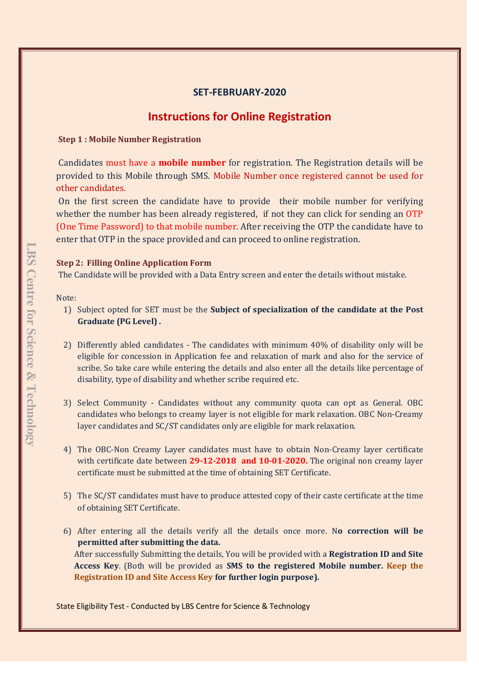# **SET-FEBRUARY-2020**

# **Instructions for Online Registration**

**Step 1 : Mobile Number Registration**

Candidates must have a **mobile number** for registration. The Registration details will be provided to this Mobile through SMS. Mobile Number once registered cannot be used for other candidates.

On the first screen the candidate have to provide their mobile number for verifying whether the number has been already registered, if not they can click for sending an OTP (One Time Password) to that mobile number. After receiving the OTP the candidate have to enter that OTP in the space provided and can proceed to online registration.

## **Step 2: Filling Online Application Form**

The Candidate will be provided with a Data Entry screen and enter the details without mistake.

## Note:

- 1) Subject opted for SET must be the **Subject of specialization of the candidate at the Post Graduate (PG Level) .**
- 2) Differently abled candidates The candidates with minimum 40% of disability only will be eligible for concession in Application fee and relaxation of mark and also for the service of scribe. So take care while entering the details and also enter all the details like percentage of disability, type of disability and whether scribe required etc.
- 3) Select Community Candidates without any community quota can opt as General. OBC candidates who belongs to creamy layer is not eligible for mark relaxation. OBC Non-Creamy layer candidates and SC/ST candidates only are eligible for mark relaxation.
- 4) The OBC-Non Creamy Layer candidates must have to obtain Non-Creamy layer certificate with certificate date between **29-12-2018 and 10-01-2020.** The original non creamy layer certificate must be submitted at the time of obtaining SET Certificate.
- 5) The SC/ST candidates must have to produce attested copy of their caste certificate at the time of obtaining SET Certificate.
- 6) After entering all the details verify all the details once more. N**o correction will be permitted after submitting the data.**  After successfully Submitting the details, You will be provided with a **Registration ID and Site Access Key**. (Both will be provided as **SMS to the registered Mobile number. Keep the Registration ID and Site Access Key for further login purpose).**

State Eligibility Test - Conducted by LBS Centre for Science & Technology